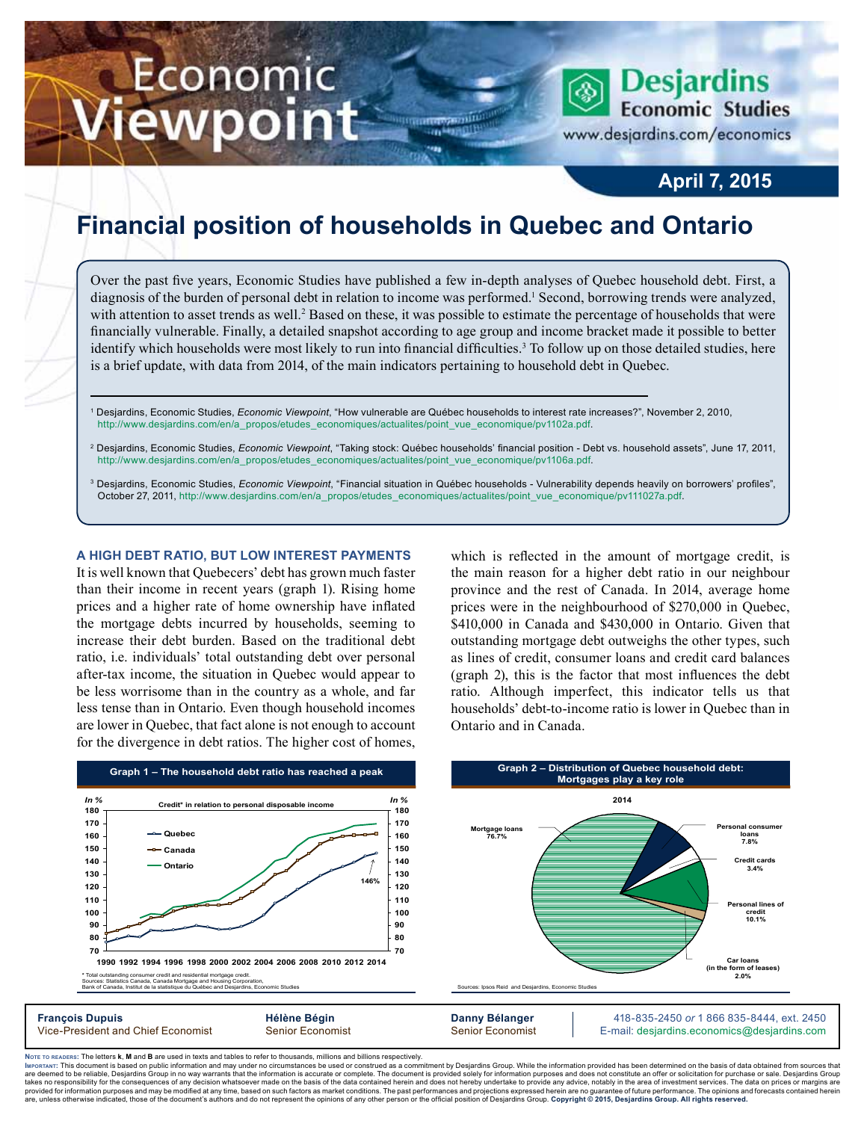# Economic iewpoint

**Desjardins Economic Studies** 

www.desjardins.com/economics

# **April 7, 2015**

# **Financial position of households in Quebec and Ontario**

<u> HISTORY ANTIQUE</u>

m

Over the past five years, Economic Studies have published a few in-depth analyses of Quebec household debt. First, a diagnosis of the burden of personal debt in relation to income was performed.<sup>1</sup> Second, borrowing trends were analyzed, with attention to asset trends as well.<sup>2</sup> Based on these, it was possible to estimate the percentage of households that were financially vulnerable. Finally, a detailed snapshot according to age group and income bracket made it possible to better identify which households were most likely to run into financial difficulties.<sup>3</sup> To follow up on those detailed studies, here is a brief update, with data from 2014, of the main indicators pertaining to household debt in Quebec.

- 1 Desjardins, Economic Studies, *Economic Viewpoint*, "How vulnerable are Québec households to interest rate increases?", November 2, 2010, http://www.desjardins.com/en/a\_propos/etudes\_economiques/actualites/point\_vue\_economique/pv1102a.pdf.
- 2 Desjardins, Economic Studies, *Economic Viewpoint*, "Taking stock: Québec households' financial position Debt vs. household assets", June 17, 2011, http://www.desjardins.com/en/a\_propos/etudes\_economiques/actualites/point\_vue\_economique/pv1106a.pdf.
- <sup>3</sup> Desjardins, Economic Studies, *Economic Viewpoint*, "Financial situation in Québec households Vulnerability depends heavily on borrowers' profiles", October 27, 2011, http://www.desjardins.com/en/a\_propos/etudes\_economiques/actualites/point\_vue\_economique/pv111027a.pdf.

# **A HIGH DEBT RATIO, BUT LOW INTEREST PAYMENTS**

It is well known that Quebecers' debt has grown much faster than their income in recent years (graph 1). Rising home prices and a higher rate of home ownership have inflated the mortgage debts incurred by households, seeming to increase their debt burden. Based on the traditional debt ratio, i.e. individuals' total outstanding debt over personal after-tax income, the situation in Quebec would appear to be less worrisome than in the country as a whole, and far less tense than in Ontario. Even though household incomes are lower in Quebec, that fact alone is not enough to account for the divergence in debt ratios. The higher cost of homes,

which is reflected in the amount of mortgage credit, is the main reason for a higher debt ratio in our neighbour province and the rest of Canada. In 2014, average home prices were in the neighbourhood of \$270,000 in Quebec, \$410,000 in Canada and \$430,000 in Ontario. Given that outstanding mortgage debt outweighs the other types, such as lines of credit, consumer loans and credit card balances (graph 2), this is the factor that most influences the debt ratio. Although imperfect, this indicator tells us that households' debt-to-income ratio is lower in Quebec than in Ontario and in Canada.



Noте то келоекs: The letters **k, M** and **B** are used in texts and tables to refer to thousands, millions and billions respectively.<br>Імроктлит: This document is based on public information and may under no circumstances be are deemed to be reliable. Desiardins Group in no way warrants that the information is accurate or complete. The document is provided solely for information purposes and does not constitute an offer or solicitation for pur takes no responsibility for the consequences of any decision whatsoever made on the basis of the data contained herein and does not hereby undertake to provide any advice, notably in the area of investment services. The da are show that information purposes and may be modified at any time, based on such factors as market conditions. The past performances and projections expressed herein are no guarantee of future performance. The opinions an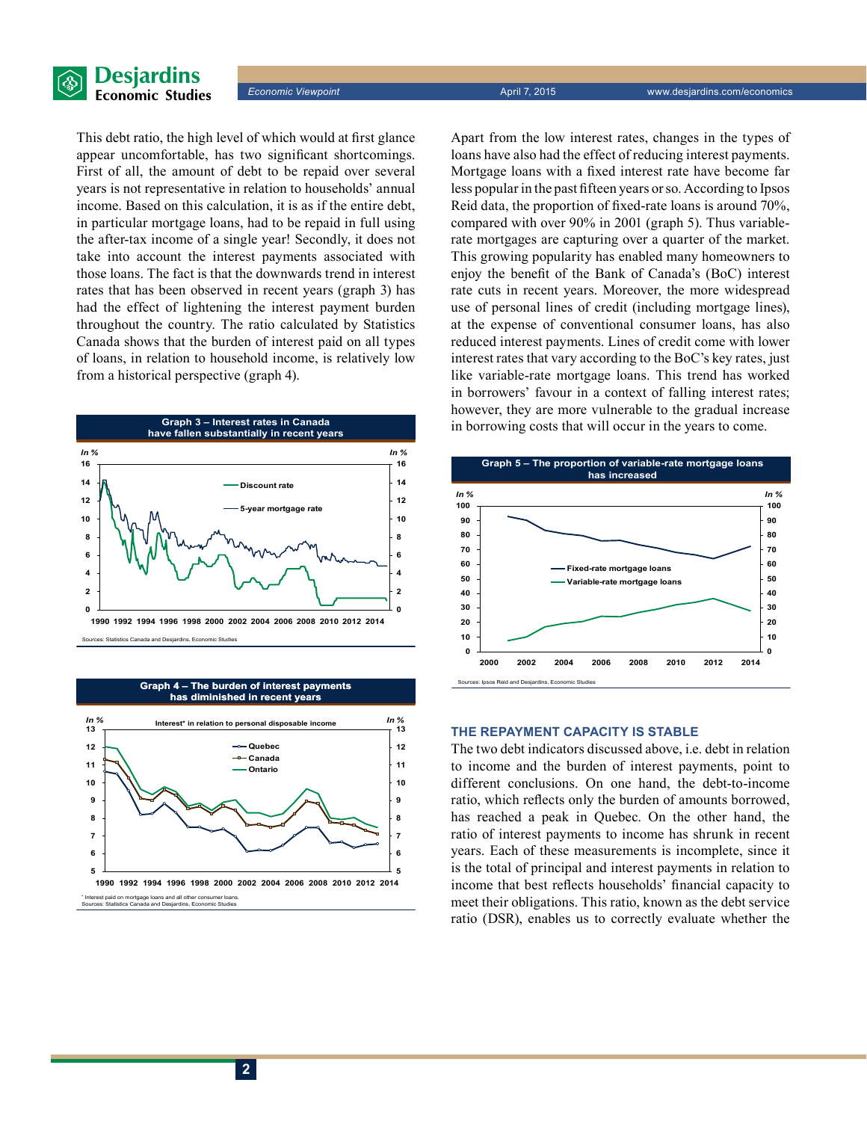

This debt ratio, the high level of which would at first glance appear uncomfortable, has two significant shortcomings. First of all, the amount of debt to be repaid over several years is not representative in relation to households' annual income. Based on this calculation, it is as if the entire debt, in particular mortgage loans, had to be repaid in full using the after-tax income of a single year! Secondly, it does not take into account the interest payments associated with those loans. The fact is that the downwards trend in interest rates that has been observed in recent years (graph 3) has had the effect of lightening the interest payment burden throughout the country. The ratio calculated by Statistics Canada shows that the burden of interest paid on all types of loans, in relation to household income, is relatively low from a historical perspective (graph 4).



#### **Graph 4 – The burden of interest payments has diminished in recent years**



Apart from the low interest rates, changes in the types of loans have also had the effect of reducing interest payments. Mortgage loans with a fixed interest rate have become far less popular in the past fifteen years or so. According to Ipsos Reid data, the proportion of fixed-rate loans is around 70%, compared with over 90% in 2001 (graph 5). Thus variablerate mortgages are capturing over a quarter of the market. This growing popularity has enabled many homeowners to enjoy the benefit of the Bank of Canada's (BoC) interest rate cuts in recent years. Moreover, the more widespread use of personal lines of credit (including mortgage lines), at the expense of conventional consumer loans, has also reduced interest payments. Lines of credit come with lower interest rates that vary according to the BoC's key rates, just like variable-rate mortgage loans. This trend has worked in borrowers' favour in a context of falling interest rates; however, they are more vulnerable to the gradual increase in borrowing costs that will occur in the years to come.



# **THE REPAYMENT CAPACITY IS STABLE**

The two debt indicators discussed above, i.e. debt in relation to income and the burden of interest payments, point to different conclusions. On one hand, the debt-to-income ratio, which reflects only the burden of amounts borrowed, has reached a peak in Quebec. On the other hand, the ratio of interest payments to income has shrunk in recent years. Each of these measurements is incomplete, since it is the total of principal and interest payments in relation to income that best reflects households' financial capacity to meet their obligations. This ratio, known as the debt service ratio (DSR), enables us to correctly evaluate whether the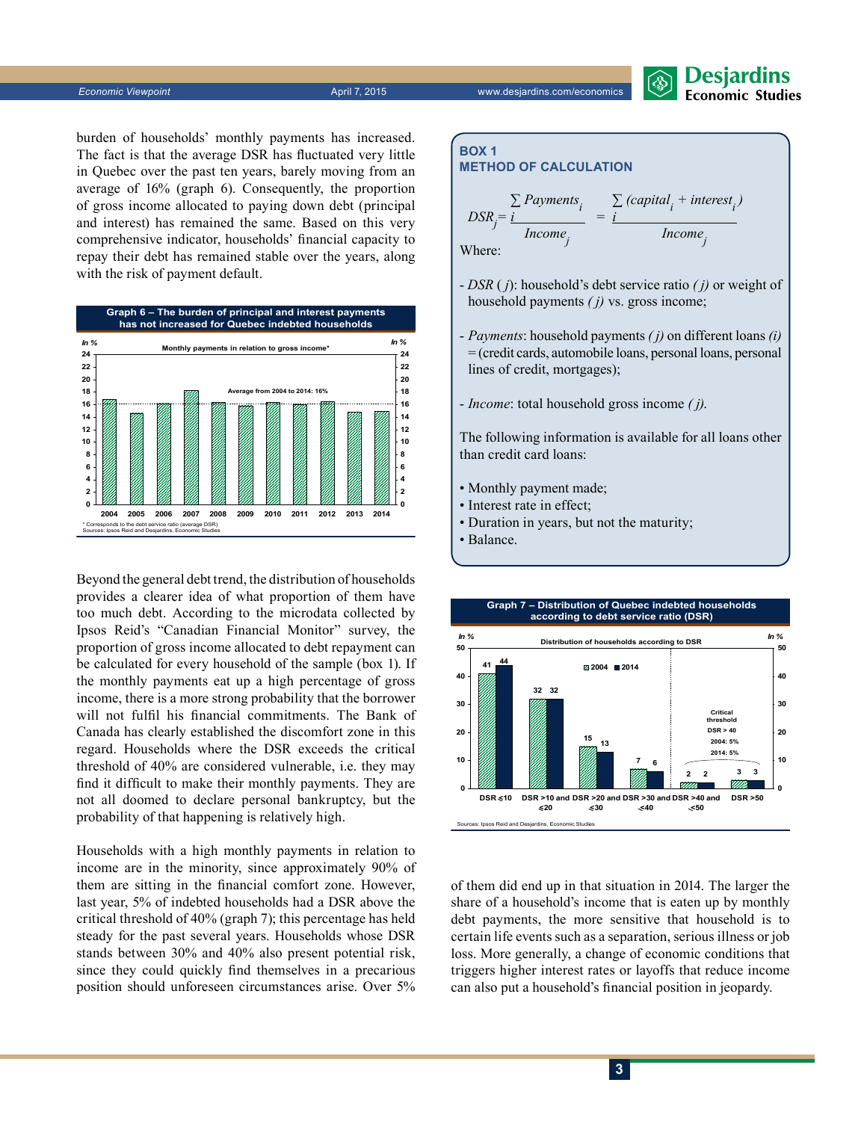*Economic Viewpoint* April 7, 2015 www.desjardins.com/economics



burden of households' monthly payments has increased. The fact is that the average DSR has fluctuated very little in Quebec over the past ten years, barely moving from an average of 16% (graph 6). Consequently, the proportion of gross income allocated to paying down debt (principal and interest) has remained the same. Based on this very comprehensive indicator, households' financial capacity to repay their debt has remained stable over the years, along with the risk of payment default.



Beyond the general debt trend, the distribution of households provides a clearer idea of what proportion of them have too much debt. According to the microdata collected by Ipsos Reid's "Canadian Financial Monitor" survey, the proportion of gross income allocated to debt repayment can be calculated for every household of the sample (box 1). If the monthly payments eat up a high percentage of gross income, there is a more strong probability that the borrower will not fulfil his financial commitments. The Bank of Canada has clearly established the discomfort zone in this regard. Households where the DSR exceeds the critical threshold of 40% are considered vulnerable, i.e. they may find it difficult to make their monthly payments. They are not all doomed to declare personal bankruptcy, but the probability of that happening is relatively high.

Households with a high monthly payments in relation to income are in the minority, since approximately 90% of them are sitting in the financial comfort zone. However, last year, 5% of indebted households had a DSR above the critical threshold of 40% (graph 7); this percentage has held steady for the past several years. Households whose DSR stands between 30% and 40% also present potential risk, since they could quickly find themselves in a precarious position should unforeseen circumstances arise. Over 5%

**Box 1**  
\n**METHOD OF CALCULATION**  
\n
$$
DSR_j = \frac{\sum \text{Payments}_i}{\text{Income}_j} = \frac{\sum \text{(capital}_i + \text{interest}_i)}{\text{Income}_j}
$$
\nWhere:

- *DSR* ( *j*): household's debt service ratio *( j)* or weight of household payments *( j)* vs. gross income;
- *Payments*: household payments *( j)* on different loans *(i)* = (credit cards, automobile loans, personal loans, personal lines of credit, mortgages);
- *Income*: total household gross income *( j)*.

The following information is available for all loans other than credit card loans:

- Monthly payment made;
- Interest rate in effect;
- Duration in years, but not the maturity;
- Balance.



of them did end up in that situation in 2014. The larger the share of a household's income that is eaten up by monthly debt payments, the more sensitive that household is to certain life events such as a separation, serious illness or job loss. More generally, a change of economic conditions that triggers higher interest rates or layoffs that reduce income can also put a household's financial position in jeopardy.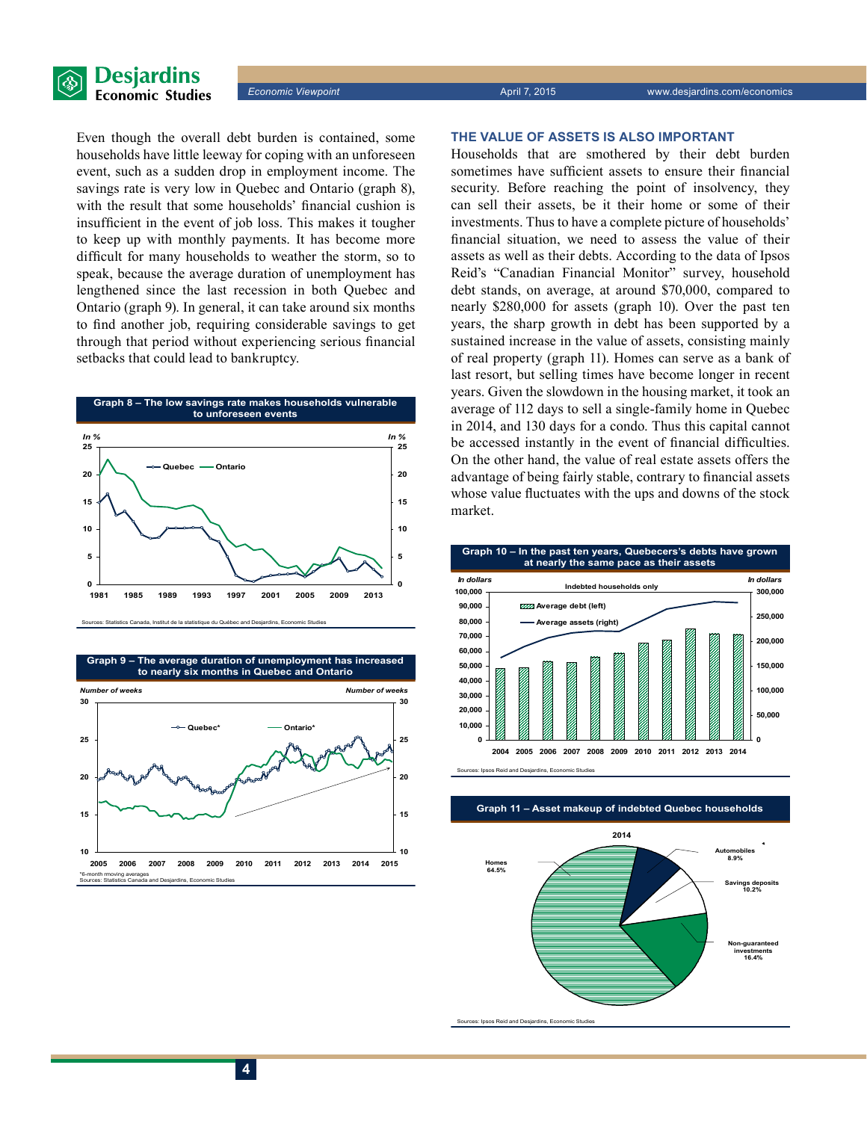

Even though the overall debt burden is contained, some households have little leeway for coping with an unforeseen event, such as a sudden drop in employment income. The savings rate is very low in Quebec and Ontario (graph 8), with the result that some households' financial cushion is insufficient in the event of job loss. This makes it tougher to keep up with monthly payments. It has become more difficult for many households to weather the storm, so to speak, because the average duration of unemployment has lengthened since the last recession in both Quebec and Ontario (graph 9). In general, it can take around six months to find another job, requiring considerable savings to get through that period without experiencing serious financial setbacks that could lead to bankruptcy.



**10 15 20 25 30 2005 2006 2007 2008 2009 2010 2011 2012 2013 2014 2015 10 15 20 25 30 Quebec\* Ontario\*** *Number of weeks Number of weeks* **Graph 9 – The average duration of unemployment has increased to nearly six months in Quebec and Ontario**

\*6-month rmoving averages Sources: Statistics Canada and Desjardins, Economic Studies

### **THE VALUE OF ASSETS IS ALSO IMPORTANT**

Households that are smothered by their debt burden sometimes have sufficient assets to ensure their financial security. Before reaching the point of insolvency, they can sell their assets, be it their home or some of their investments. Thus to have a complete picture of households' financial situation, we need to assess the value of their assets as well as their debts. According to the data of Ipsos Reid's "Canadian Financial Monitor" survey, household debt stands, on average, at around \$70,000, compared to nearly \$280,000 for assets (graph 10). Over the past ten years, the sharp growth in debt has been supported by a sustained increase in the value of assets, consisting mainly of real property (graph 11). Homes can serve as a bank of last resort, but selling times have become longer in recent years. Given the slowdown in the housing market, it took an average of 112 days to sell a single-family home in Quebec in 2014, and 130 days for a condo. Thus this capital cannot be accessed instantly in the event of financial difficulties. On the other hand, the value of real estate assets offers the advantage of being fairly stable, contrary to financial assets whose value fluctuates with the ups and downs of the stock market.



es: Ipsos Reid and Desjardins, Economic Studies

**Graph 11 – Asset makeup of indebted Quebec households**